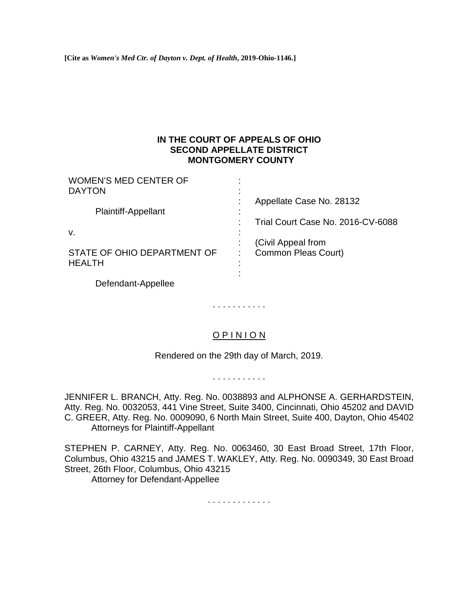**[Cite as** *Women's Med Ctr. of Dayton v. Dept. of Health***, 2019-Ohio-1146.]**

## **IN THE COURT OF APPEALS OF OHIO SECOND APPELLATE DISTRICT MONTGOMERY COUNTY**

| <b>WOMEN'S MED CENTER OF</b><br><b>DAYTON</b> |                                   |
|-----------------------------------------------|-----------------------------------|
| <b>Plaintiff-Appellant</b>                    | Appellate Case No. 28132          |
|                                               | Trial Court Case No. 2016-CV-6088 |
| v.                                            | (Civil Appeal from                |
| STATE OF OHIO DEPARTMENT OF<br><b>HEALTH</b>  | Common Pleas Court)               |
| Defendant-Appellee                            |                                   |

O P I N I O N

. . . . . . . . . . .

Rendered on the 29th day of March, 2019.

. . . . . . . . . . .

JENNIFER L. BRANCH, Atty. Reg. No. 0038893 and ALPHONSE A. GERHARDSTEIN, Atty. Reg. No. 0032053, 441 Vine Street, Suite 3400, Cincinnati, Ohio 45202 and DAVID C. GREER, Atty. Reg. No. 0009090, 6 North Main Street, Suite 400, Dayton, Ohio 45402 Attorneys for Plaintiff-Appellant

STEPHEN P. CARNEY, Atty. Reg. No. 0063460, 30 East Broad Street, 17th Floor, Columbus, Ohio 43215 and JAMES T. WAKLEY, Atty. Reg. No. 0090349, 30 East Broad Street, 26th Floor, Columbus, Ohio 43215 Attorney for Defendant-Appellee

. . . . . . . . . . . . .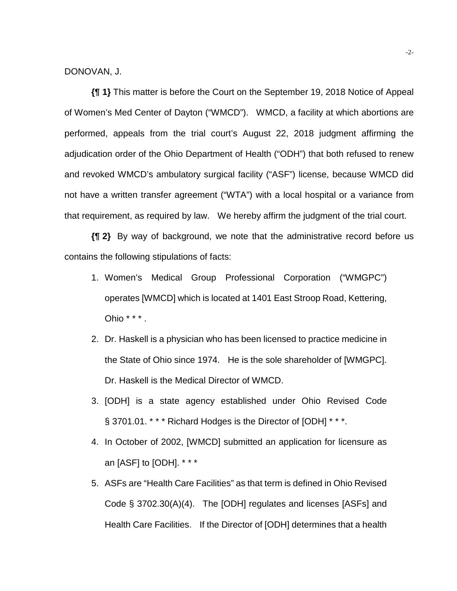DONOVAN, J.

**{¶ 1}** This matter is before the Court on the September 19, 2018 Notice of Appeal of Women's Med Center of Dayton ("WMCD"). WMCD, a facility at which abortions are performed, appeals from the trial court's August 22, 2018 judgment affirming the adjudication order of the Ohio Department of Health ("ODH") that both refused to renew and revoked WMCD's ambulatory surgical facility ("ASF") license, because WMCD did not have a written transfer agreement ("WTA") with a local hospital or a variance from that requirement, as required by law. We hereby affirm the judgment of the trial court.

**{¶ 2}** By way of background, we note that the administrative record before us contains the following stipulations of facts:

- 1. Women's Medical Group Professional Corporation ("WMGPC") operates [WMCD] which is located at 1401 East Stroop Road, Kettering, Ohio \* \* \* .
- 2. Dr. Haskell is a physician who has been licensed to practice medicine in the State of Ohio since 1974. He is the sole shareholder of [WMGPC]. Dr. Haskell is the Medical Director of WMCD.
- 3. [ODH] is a state agency established under Ohio Revised Code § 3701.01. \* \* \* Richard Hodges is the Director of [ODH] \* \* \*.
- 4. In October of 2002, [WMCD] submitted an application for licensure as an [ASF] to [ODH]. \* \* \*
- 5. ASFs are "Health Care Facilities" as that term is defined in Ohio Revised Code § 3702.30(A)(4). The [ODH] regulates and licenses [ASFs] and Health Care Facilities. If the Director of [ODH] determines that a health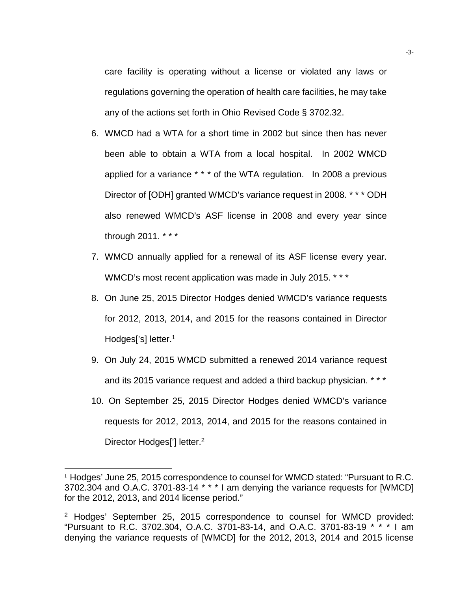care facility is operating without a license or violated any laws or regulations governing the operation of health care facilities, he may take any of the actions set forth in Ohio Revised Code § 3702.32.

- 6. WMCD had a WTA for a short time in 2002 but since then has never been able to obtain a WTA from a local hospital. In 2002 WMCD applied for a variance \* \* \* of the WTA regulation. In 2008 a previous Director of [ODH] granted WMCD's variance request in 2008. \* \* \* ODH also renewed WMCD's ASF license in 2008 and every year since through 2011. \* \* \*
- 7. WMCD annually applied for a renewal of its ASF license every year. WMCD's most recent application was made in July 2015. \* \* \*
- 8. On June 25, 2015 Director Hodges denied WMCD's variance requests for 2012, 2013, 2014, and 2015 for the reasons contained in Director Hodges['s] letter.<sup>1</sup>
- 9. On July 24, 2015 WMCD submitted a renewed 2014 variance request and its 2015 variance request and added a third backup physician. \* \* \*
- 10. On September 25, 2015 Director Hodges denied WMCD's variance requests for 2012, 2013, 2014, and 2015 for the reasons contained in Director Hodges<sup>[']</sup> letter.<sup>2</sup>

l

<sup>&</sup>lt;sup>1</sup> Hodges' June 25, 2015 correspondence to counsel for WMCD stated: "Pursuant to R.C. 3702.304 and O.A.C. 3701-83-14 \* \* \* I am denying the variance requests for [WMCD] for the 2012, 2013, and 2014 license period."

<sup>2</sup> Hodges' September 25, 2015 correspondence to counsel for WMCD provided: "Pursuant to R.C. 3702.304, O.A.C. 3701-83-14, and O.A.C. 3701-83-19 \* \* \* I am denying the variance requests of [WMCD] for the 2012, 2013, 2014 and 2015 license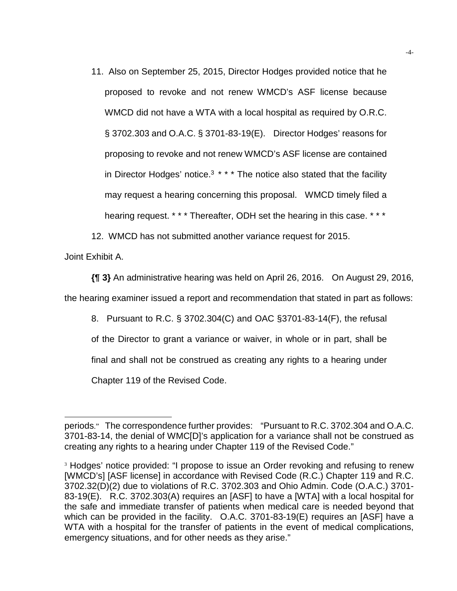- 11. Also on September 25, 2015, Director Hodges provided notice that he proposed to revoke and not renew WMCD's ASF license because WMCD did not have a WTA with a local hospital as required by O.R.C. § 3702.303 and O.A.C. § 3701-83-19(E). Director Hodges' reasons for proposing to revoke and not renew WMCD's ASF license are contained in Director Hodges' notice.<sup>3</sup>  $* * *$  The notice also stated that the facility may request a hearing concerning this proposal. WMCD timely filed a hearing request. \* \* \* Thereafter, ODH set the hearing in this case. \* \* \*
- 12. WMCD has not submitted another variance request for 2015.

Joint Exhibit A.

l

**{¶ 3}** An administrative hearing was held on April 26, 2016. On August 29, 2016,

the hearing examiner issued a report and recommendation that stated in part as follows:

8. Pursuant to R.C. § 3702.304(C) and OAC §3701-83-14(F), the refusal

of the Director to grant a variance or waiver, in whole or in part, shall be

final and shall not be construed as creating any rights to a hearing under

Chapter 119 of the Revised Code.

periods." The correspondence further provides: "Pursuant to R.C. 3702.304 and O.A.C. 3701-83-14, the denial of WMC[D]'s application for a variance shall not be construed as creating any rights to a hearing under Chapter 119 of the Revised Code."

<sup>3</sup> Hodges' notice provided: "I propose to issue an Order revoking and refusing to renew [WMCD's] [ASF license] in accordance with Revised Code (R.C.) Chapter 119 and R.C. 3702.32(D)(2) due to violations of R.C. 3702.303 and Ohio Admin. Code (O.A.C.) 3701- 83-19(E). R.C. 3702.303(A) requires an [ASF] to have a [WTA] with a local hospital for the safe and immediate transfer of patients when medical care is needed beyond that which can be provided in the facility. O.A.C. 3701-83-19(E) requires an [ASF] have a WTA with a hospital for the transfer of patients in the event of medical complications, emergency situations, and for other needs as they arise."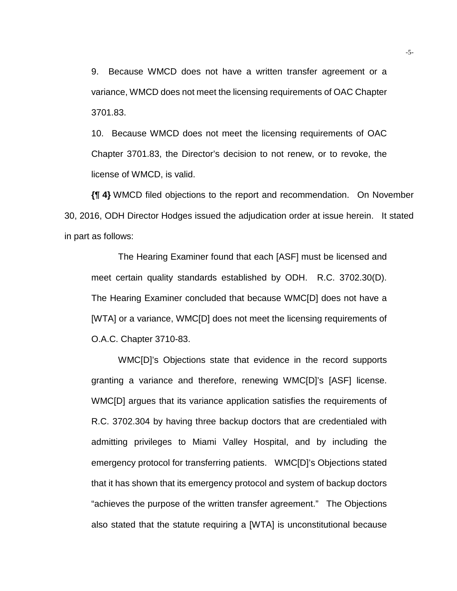9. Because WMCD does not have a written transfer agreement or a variance, WMCD does not meet the licensing requirements of OAC Chapter 3701.83.

10. Because WMCD does not meet the licensing requirements of OAC Chapter 3701.83, the Director's decision to not renew, or to revoke, the license of WMCD, is valid.

**{¶ 4}** WMCD filed objections to the report and recommendation. On November 30, 2016, ODH Director Hodges issued the adjudication order at issue herein. It stated in part as follows:

The Hearing Examiner found that each [ASF] must be licensed and meet certain quality standards established by ODH. R.C. 3702.30(D). The Hearing Examiner concluded that because WMC[D] does not have a [WTA] or a variance, WMC[D] does not meet the licensing requirements of O.A.C. Chapter 3710-83.

WMC[D]'s Objections state that evidence in the record supports granting a variance and therefore, renewing WMC[D]'s [ASF] license. WMC[D] argues that its variance application satisfies the requirements of R.C. 3702.304 by having three backup doctors that are credentialed with admitting privileges to Miami Valley Hospital, and by including the emergency protocol for transferring patients. WMC[D]'s Objections stated that it has shown that its emergency protocol and system of backup doctors "achieves the purpose of the written transfer agreement." The Objections also stated that the statute requiring a [WTA] is unconstitutional because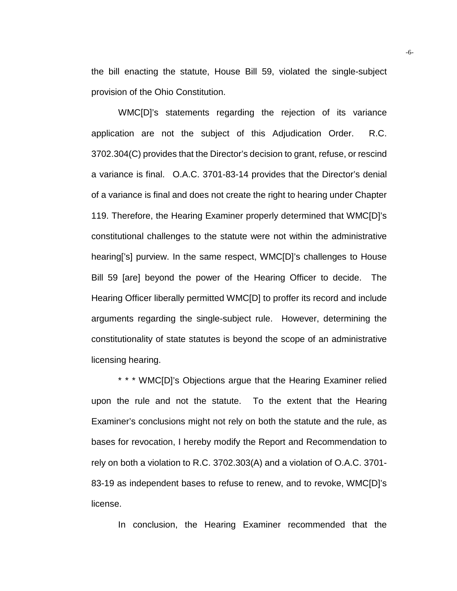the bill enacting the statute, House Bill 59, violated the single-subject provision of the Ohio Constitution.

 WMC[D]'s statements regarding the rejection of its variance application are not the subject of this Adjudication Order. R.C. 3702.304(C) provides that the Director's decision to grant, refuse, or rescind a variance is final. O.A.C. 3701-83-14 provides that the Director's denial of a variance is final and does not create the right to hearing under Chapter 119. Therefore, the Hearing Examiner properly determined that WMC[D]'s constitutional challenges to the statute were not within the administrative hearing['s] purview. In the same respect, WMC[D]'s challenges to House Bill 59 [are] beyond the power of the Hearing Officer to decide. The Hearing Officer liberally permitted WMC[D] to proffer its record and include arguments regarding the single-subject rule. However, determining the constitutionality of state statutes is beyond the scope of an administrative licensing hearing.

\* \* \* WMC[D]'s Objections argue that the Hearing Examiner relied upon the rule and not the statute. To the extent that the Hearing Examiner's conclusions might not rely on both the statute and the rule, as bases for revocation, I hereby modify the Report and Recommendation to rely on both a violation to R.C. 3702.303(A) and a violation of O.A.C. 3701- 83-19 as independent bases to refuse to renew, and to revoke, WMC[D]'s license.

In conclusion, the Hearing Examiner recommended that the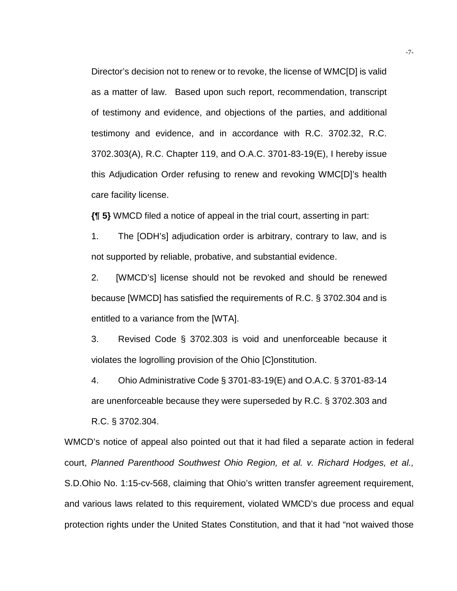Director's decision not to renew or to revoke, the license of WMC[D] is valid as a matter of law. Based upon such report, recommendation, transcript of testimony and evidence, and objections of the parties, and additional testimony and evidence, and in accordance with R.C. 3702.32, R.C. 3702.303(A), R.C. Chapter 119, and O.A.C. 3701-83-19(E), I hereby issue this Adjudication Order refusing to renew and revoking WMC[D]'s health care facility license.

**{¶ 5}** WMCD filed a notice of appeal in the trial court, asserting in part:

1. The [ODH's] adjudication order is arbitrary, contrary to law, and is not supported by reliable, probative, and substantial evidence.

2. [WMCD's] license should not be revoked and should be renewed because [WMCD] has satisfied the requirements of R.C. § 3702.304 and is entitled to a variance from the [WTA].

3. Revised Code § 3702.303 is void and unenforceable because it violates the logrolling provision of the Ohio [C]onstitution.

4. Ohio Administrative Code § 3701-83-19(E) and O.A.C. § 3701-83-14 are unenforceable because they were superseded by R.C. § 3702.303 and R.C. § 3702.304.

WMCD's notice of appeal also pointed out that it had filed a separate action in federal court, *Planned Parenthood Southwest Ohio Region, et al. v. Richard Hodges, et al.,*  S.D.Ohio No. 1:15-cv-568, claiming that Ohio's written transfer agreement requirement, and various laws related to this requirement, violated WMCD's due process and equal protection rights under the United States Constitution, and that it had "not waived those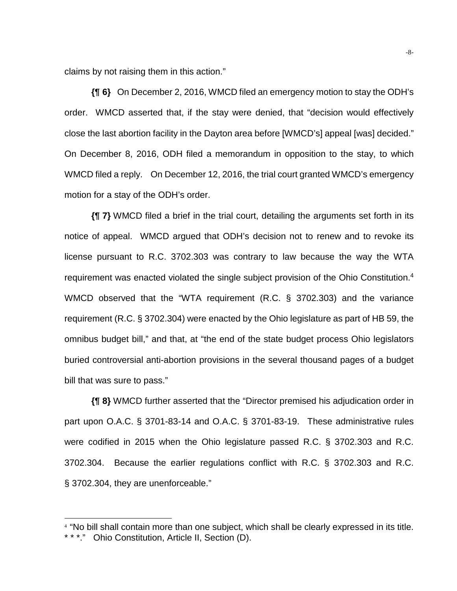claims by not raising them in this action."

**{¶ 6}** On December 2, 2016, WMCD filed an emergency motion to stay the ODH's order. WMCD asserted that, if the stay were denied, that "decision would effectively close the last abortion facility in the Dayton area before [WMCD's] appeal [was] decided." On December 8, 2016, ODH filed a memorandum in opposition to the stay, to which WMCD filed a reply. On December 12, 2016, the trial court granted WMCD's emergency motion for a stay of the ODH's order.

**{¶ 7}** WMCD filed a brief in the trial court, detailing the arguments set forth in its notice of appeal. WMCD argued that ODH's decision not to renew and to revoke its license pursuant to R.C. 3702.303 was contrary to law because the way the WTA requirement was enacted violated the single subject provision of the Ohio Constitution.4 WMCD observed that the "WTA requirement (R.C. § 3702.303) and the variance requirement (R.C. § 3702.304) were enacted by the Ohio legislature as part of HB 59, the omnibus budget bill," and that, at "the end of the state budget process Ohio legislators buried controversial anti-abortion provisions in the several thousand pages of a budget bill that was sure to pass."

**{¶ 8}** WMCD further asserted that the "Director premised his adjudication order in part upon O.A.C. § 3701-83-14 and O.A.C. § 3701-83-19. These administrative rules were codified in 2015 when the Ohio legislature passed R.C. § 3702.303 and R.C. 3702.304. Because the earlier regulations conflict with R.C. § 3702.303 and R.C. § 3702.304, they are unenforceable."

l

<sup>4</sup> "No bill shall contain more than one subject, which shall be clearly expressed in its title.

<sup>\* \* \*.&</sup>quot; Ohio Constitution, Article II, Section (D).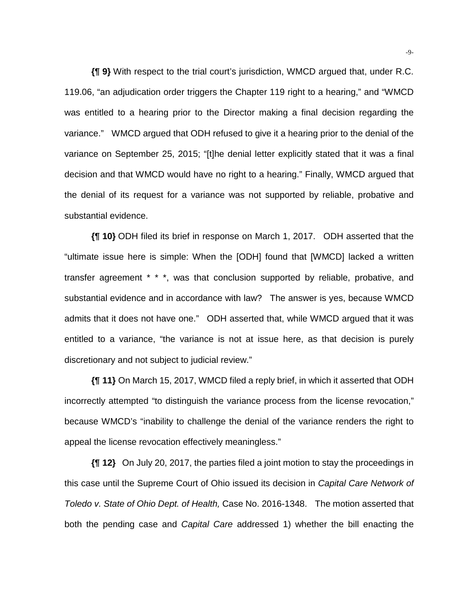**{¶ 9}** With respect to the trial court's jurisdiction, WMCD argued that, under R.C. 119.06, "an adjudication order triggers the Chapter 119 right to a hearing," and "WMCD was entitled to a hearing prior to the Director making a final decision regarding the variance." WMCD argued that ODH refused to give it a hearing prior to the denial of the variance on September 25, 2015; "[t]he denial letter explicitly stated that it was a final decision and that WMCD would have no right to a hearing." Finally, WMCD argued that the denial of its request for a variance was not supported by reliable, probative and substantial evidence.

**{¶ 10}** ODH filed its brief in response on March 1, 2017. ODH asserted that the "ultimate issue here is simple: When the [ODH] found that [WMCD] lacked a written transfer agreement \* \* \*, was that conclusion supported by reliable, probative, and substantial evidence and in accordance with law? The answer is yes, because WMCD admits that it does not have one." ODH asserted that, while WMCD argued that it was entitled to a variance, "the variance is not at issue here, as that decision is purely discretionary and not subject to judicial review."

**{¶ 11}** On March 15, 2017, WMCD filed a reply brief, in which it asserted that ODH incorrectly attempted "to distinguish the variance process from the license revocation," because WMCD's "inability to challenge the denial of the variance renders the right to appeal the license revocation effectively meaningless."

**{¶ 12}** On July 20, 2017, the parties filed a joint motion to stay the proceedings in this case until the Supreme Court of Ohio issued its decision in *Capital Care Network of Toledo v. State of Ohio Dept. of Health,* Case No. 2016-1348. The motion asserted that both the pending case and *Capital Care* addressed 1) whether the bill enacting the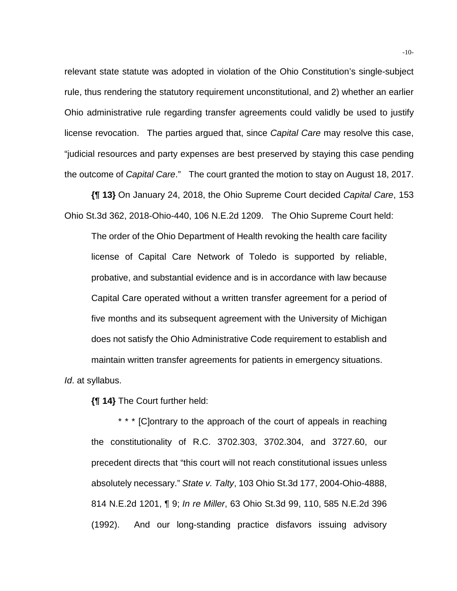relevant state statute was adopted in violation of the Ohio Constitution's single-subject rule, thus rendering the statutory requirement unconstitutional, and 2) whether an earlier Ohio administrative rule regarding transfer agreements could validly be used to justify license revocation. The parties argued that, since *Capital Care* may resolve this case, "judicial resources and party expenses are best preserved by staying this case pending the outcome of *Capital Care*." The court granted the motion to stay on August 18, 2017.

**{¶ 13}** On January 24, 2018, the Ohio Supreme Court decided *Capital Care*, 153 Ohio St.3d 362, 2018-Ohio-440, 106 N.E.2d 1209. The Ohio Supreme Court held:

The order of the Ohio Department of Health revoking the health care facility license of Capital Care Network of Toledo is supported by reliable, probative, and substantial evidence and is in accordance with law because Capital Care operated without a written transfer agreement for a period of five months and its subsequent agreement with the University of Michigan does not satisfy the Ohio Administrative Code requirement to establish and maintain written transfer agreements for patients in emergency situations. *Id*. at syllabus.

**{¶ 14}** The Court further held:

\* \* \* [C]ontrary to the approach of the court of appeals in reaching the constitutionality of R.C. 3702.303, 3702.304, and 3727.60, our precedent directs that "this court will not reach constitutional issues unless absolutely necessary." *State v. Talty*, 103 Ohio St.3d 177, 2004-Ohio-4888, 814 N.E.2d 1201, ¶ 9; *In re Miller*, 63 Ohio St.3d 99, 110, 585 N.E.2d 396 (1992). And our long-standing practice disfavors issuing advisory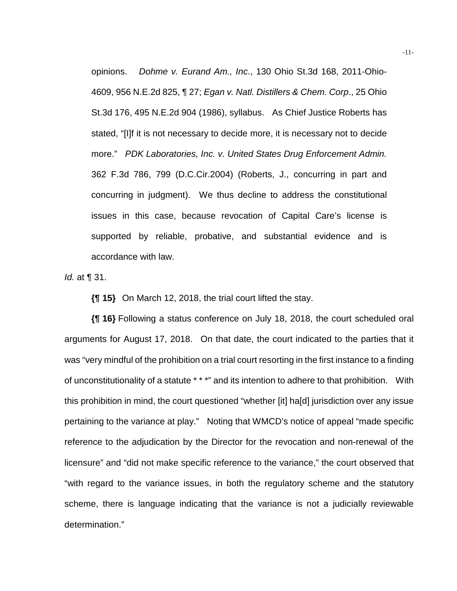opinions. *Dohme v. Eurand Am., Inc*., 130 Ohio St.3d 168, 2011-Ohio-4609, 956 N.E.2d 825, ¶ 27; *Egan v. Natl. Distillers & Chem. Corp*., 25 Ohio St.3d 176, 495 N.E.2d 904 (1986), syllabus. As Chief Justice Roberts has stated, "[I]f it is not necessary to decide more, it is necessary not to decide more." *PDK Laboratories, Inc. v. United States Drug Enforcement Admin.* 362 F.3d 786, 799 (D.C.Cir.2004) (Roberts, J., concurring in part and concurring in judgment). We thus decline to address the constitutional issues in this case, because revocation of Capital Care's license is supported by reliable, probative, and substantial evidence and is accordance with law.

*Id.* at ¶ 31.

**{¶ 15}** On March 12, 2018, the trial court lifted the stay.

**{¶ 16}** Following a status conference on July 18, 2018, the court scheduled oral arguments for August 17, 2018. On that date, the court indicated to the parties that it was "very mindful of the prohibition on a trial court resorting in the first instance to a finding of unconstitutionality of a statute \* \* \*" and its intention to adhere to that prohibition. With this prohibition in mind, the court questioned "whether [it] ha[d] jurisdiction over any issue pertaining to the variance at play." Noting that WMCD's notice of appeal "made specific reference to the adjudication by the Director for the revocation and non-renewal of the licensure" and "did not make specific reference to the variance," the court observed that "with regard to the variance issues, in both the regulatory scheme and the statutory scheme, there is language indicating that the variance is not a judicially reviewable determination."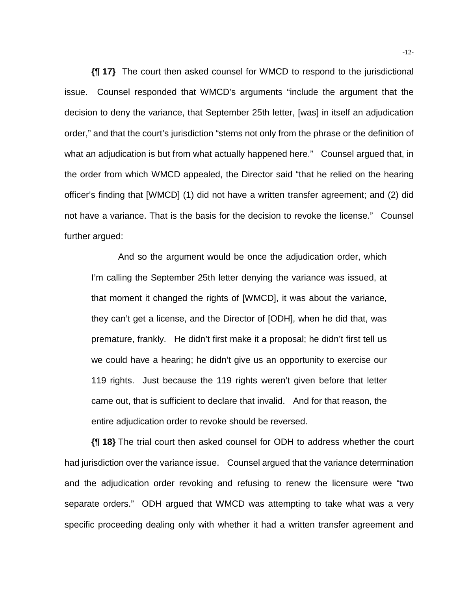**{¶ 17}** The court then asked counsel for WMCD to respond to the jurisdictional issue. Counsel responded that WMCD's arguments "include the argument that the decision to deny the variance, that September 25th letter, [was] in itself an adjudication order," and that the court's jurisdiction "stems not only from the phrase or the definition of what an adjudication is but from what actually happened here." Counsel argued that, in the order from which WMCD appealed, the Director said "that he relied on the hearing officer's finding that [WMCD] (1) did not have a written transfer agreement; and (2) did not have a variance. That is the basis for the decision to revoke the license." Counsel further argued:

And so the argument would be once the adjudication order, which I'm calling the September 25th letter denying the variance was issued, at that moment it changed the rights of [WMCD], it was about the variance, they can't get a license, and the Director of [ODH], when he did that, was premature, frankly. He didn't first make it a proposal; he didn't first tell us we could have a hearing; he didn't give us an opportunity to exercise our 119 rights. Just because the 119 rights weren't given before that letter came out, that is sufficient to declare that invalid. And for that reason, the entire adjudication order to revoke should be reversed.

**{¶ 18}** The trial court then asked counsel for ODH to address whether the court had jurisdiction over the variance issue. Counsel argued that the variance determination and the adjudication order revoking and refusing to renew the licensure were "two separate orders." ODH argued that WMCD was attempting to take what was a very specific proceeding dealing only with whether it had a written transfer agreement and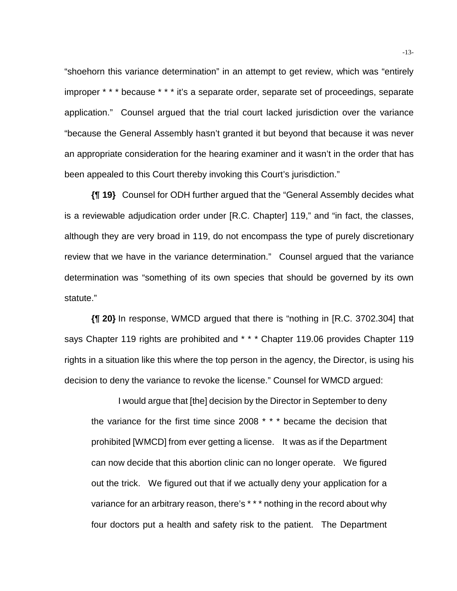"shoehorn this variance determination" in an attempt to get review, which was "entirely improper \* \* \* because \* \* \* it's a separate order, separate set of proceedings, separate application." Counsel argued that the trial court lacked jurisdiction over the variance "because the General Assembly hasn't granted it but beyond that because it was never an appropriate consideration for the hearing examiner and it wasn't in the order that has been appealed to this Court thereby invoking this Court's jurisdiction."

**{¶ 19}** Counsel for ODH further argued that the "General Assembly decides what is a reviewable adjudication order under [R.C. Chapter] 119," and "in fact, the classes, although they are very broad in 119, do not encompass the type of purely discretionary review that we have in the variance determination." Counsel argued that the variance determination was "something of its own species that should be governed by its own statute."

**{¶ 20}** In response, WMCD argued that there is "nothing in [R.C. 3702.304] that says Chapter 119 rights are prohibited and \* \* \* Chapter 119.06 provides Chapter 119 rights in a situation like this where the top person in the agency, the Director, is using his decision to deny the variance to revoke the license." Counsel for WMCD argued:

I would argue that [the] decision by the Director in September to deny the variance for the first time since 2008 \* \* \* became the decision that prohibited [WMCD] from ever getting a license. It was as if the Department can now decide that this abortion clinic can no longer operate. We figured out the trick. We figured out that if we actually deny your application for a variance for an arbitrary reason, there's \* \* \* nothing in the record about why four doctors put a health and safety risk to the patient. The Department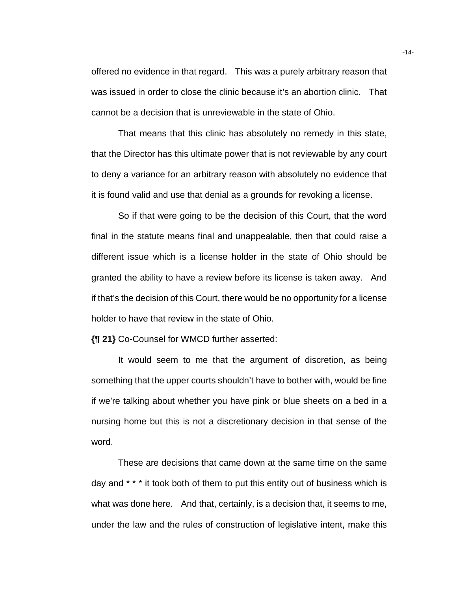offered no evidence in that regard. This was a purely arbitrary reason that was issued in order to close the clinic because it's an abortion clinic. That cannot be a decision that is unreviewable in the state of Ohio.

 That means that this clinic has absolutely no remedy in this state, that the Director has this ultimate power that is not reviewable by any court to deny a variance for an arbitrary reason with absolutely no evidence that it is found valid and use that denial as a grounds for revoking a license.

 So if that were going to be the decision of this Court, that the word final in the statute means final and unappealable, then that could raise a different issue which is a license holder in the state of Ohio should be granted the ability to have a review before its license is taken away. And if that's the decision of this Court, there would be no opportunity for a license holder to have that review in the state of Ohio.

**{¶ 21}** Co-Counsel for WMCD further asserted:

It would seem to me that the argument of discretion, as being something that the upper courts shouldn't have to bother with, would be fine if we're talking about whether you have pink or blue sheets on a bed in a nursing home but this is not a discretionary decision in that sense of the word.

These are decisions that came down at the same time on the same day and \* \* \* it took both of them to put this entity out of business which is what was done here. And that, certainly, is a decision that, it seems to me, under the law and the rules of construction of legislative intent, make this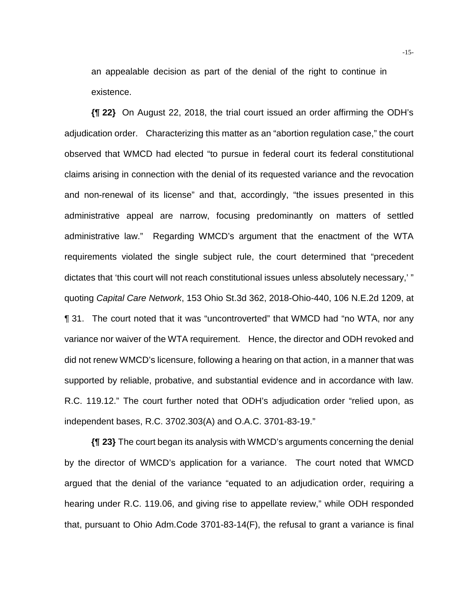an appealable decision as part of the denial of the right to continue in existence.

**{¶ 22}** On August 22, 2018, the trial court issued an order affirming the ODH's adjudication order. Characterizing this matter as an "abortion regulation case," the court observed that WMCD had elected "to pursue in federal court its federal constitutional claims arising in connection with the denial of its requested variance and the revocation and non-renewal of its license" and that, accordingly, "the issues presented in this administrative appeal are narrow, focusing predominantly on matters of settled administrative law." Regarding WMCD's argument that the enactment of the WTA requirements violated the single subject rule, the court determined that "precedent dictates that 'this court will not reach constitutional issues unless absolutely necessary,' " quoting *Capital Care Network*, 153 Ohio St.3d 362, 2018-Ohio-440, 106 N.E.2d 1209, at ¶ 31. The court noted that it was "uncontroverted" that WMCD had "no WTA, nor any variance nor waiver of the WTA requirement. Hence, the director and ODH revoked and did not renew WMCD's licensure, following a hearing on that action, in a manner that was supported by reliable, probative, and substantial evidence and in accordance with law. R.C. 119.12." The court further noted that ODH's adjudication order "relied upon, as independent bases, R.C. 3702.303(A) and O.A.C. 3701-83-19."

**{¶ 23}** The court began its analysis with WMCD's arguments concerning the denial by the director of WMCD's application for a variance. The court noted that WMCD argued that the denial of the variance "equated to an adjudication order, requiring a hearing under R.C. 119.06, and giving rise to appellate review," while ODH responded that, pursuant to Ohio Adm.Code 3701-83-14(F), the refusal to grant a variance is final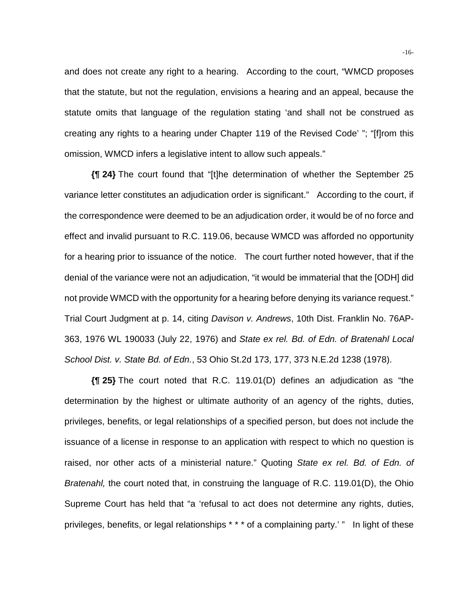and does not create any right to a hearing. According to the court, "WMCD proposes that the statute, but not the regulation, envisions a hearing and an appeal, because the statute omits that language of the regulation stating 'and shall not be construed as creating any rights to a hearing under Chapter 119 of the Revised Code' "; "[f]rom this omission, WMCD infers a legislative intent to allow such appeals."

**{¶ 24}** The court found that "[t]he determination of whether the September 25 variance letter constitutes an adjudication order is significant." According to the court, if the correspondence were deemed to be an adjudication order, it would be of no force and effect and invalid pursuant to R.C. 119.06, because WMCD was afforded no opportunity for a hearing prior to issuance of the notice. The court further noted however, that if the denial of the variance were not an adjudication, "it would be immaterial that the [ODH] did not provide WMCD with the opportunity for a hearing before denying its variance request." Trial Court Judgment at p. 14, citing *Davison v. Andrews*, 10th Dist. Franklin No. 76AP-363, 1976 WL 190033 (July 22, 1976) and *State ex rel. Bd. of Edn. of Bratenahl Local School Dist. v. State Bd. of Edn.*, 53 Ohio St.2d 173, 177, 373 N.E.2d 1238 (1978).

**{¶ 25}** The court noted that R.C. 119.01(D) defines an adjudication as "the determination by the highest or ultimate authority of an agency of the rights, duties, privileges, benefits, or legal relationships of a specified person, but does not include the issuance of a license in response to an application with respect to which no question is raised, nor other acts of a ministerial nature." Quoting *State ex rel. Bd. of Edn. of Bratenahl,* the court noted that, in construing the language of R.C. 119.01(D), the Ohio Supreme Court has held that "a 'refusal to act does not determine any rights, duties, privileges, benefits, or legal relationships \* \* \* of a complaining party.' " In light of these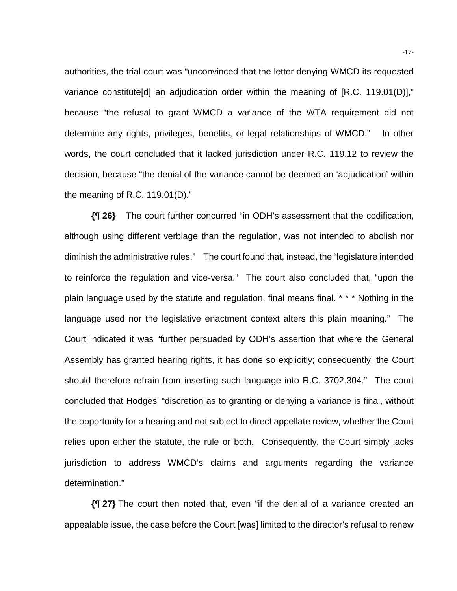authorities, the trial court was "unconvinced that the letter denying WMCD its requested variance constitute[d] an adjudication order within the meaning of [R.C. 119.01(D)]," because "the refusal to grant WMCD a variance of the WTA requirement did not determine any rights, privileges, benefits, or legal relationships of WMCD." In other words, the court concluded that it lacked jurisdiction under R.C. 119.12 to review the decision, because "the denial of the variance cannot be deemed an 'adjudication' within the meaning of R.C. 119.01(D)."

**{¶ 26}** The court further concurred "in ODH's assessment that the codification, although using different verbiage than the regulation, was not intended to abolish nor diminish the administrative rules." The court found that, instead, the "legislature intended to reinforce the regulation and vice-versa." The court also concluded that, "upon the plain language used by the statute and regulation, final means final. \* \* \* Nothing in the language used nor the legislative enactment context alters this plain meaning." The Court indicated it was "further persuaded by ODH's assertion that where the General Assembly has granted hearing rights, it has done so explicitly; consequently, the Court should therefore refrain from inserting such language into R.C. 3702.304." The court concluded that Hodges' "discretion as to granting or denying a variance is final, without the opportunity for a hearing and not subject to direct appellate review, whether the Court relies upon either the statute, the rule or both. Consequently, the Court simply lacks jurisdiction to address WMCD's claims and arguments regarding the variance determination."

**{¶ 27}** The court then noted that, even "if the denial of a variance created an appealable issue, the case before the Court [was] limited to the director's refusal to renew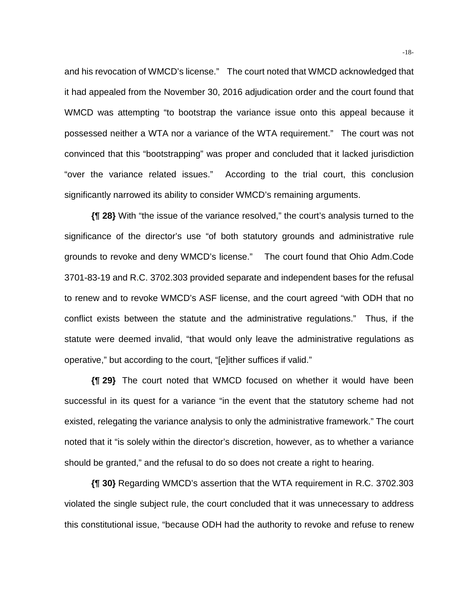and his revocation of WMCD's license." The court noted that WMCD acknowledged that it had appealed from the November 30, 2016 adjudication order and the court found that WMCD was attempting "to bootstrap the variance issue onto this appeal because it possessed neither a WTA nor a variance of the WTA requirement." The court was not convinced that this "bootstrapping" was proper and concluded that it lacked jurisdiction "over the variance related issues." According to the trial court, this conclusion significantly narrowed its ability to consider WMCD's remaining arguments.

**{¶ 28}** With "the issue of the variance resolved," the court's analysis turned to the significance of the director's use "of both statutory grounds and administrative rule grounds to revoke and deny WMCD's license." The court found that Ohio Adm.Code 3701-83-19 and R.C. 3702.303 provided separate and independent bases for the refusal to renew and to revoke WMCD's ASF license, and the court agreed "with ODH that no conflict exists between the statute and the administrative regulations." Thus, if the statute were deemed invalid, "that would only leave the administrative regulations as operative," but according to the court, "[e]ither suffices if valid."

**{¶ 29}** The court noted that WMCD focused on whether it would have been successful in its quest for a variance "in the event that the statutory scheme had not existed, relegating the variance analysis to only the administrative framework." The court noted that it "is solely within the director's discretion, however, as to whether a variance should be granted," and the refusal to do so does not create a right to hearing.

**{¶ 30}** Regarding WMCD's assertion that the WTA requirement in R.C. 3702.303 violated the single subject rule, the court concluded that it was unnecessary to address this constitutional issue, "because ODH had the authority to revoke and refuse to renew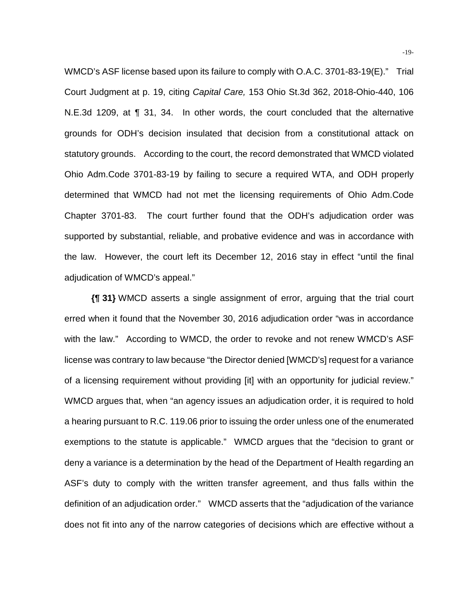WMCD's ASF license based upon its failure to comply with O.A.C. 3701-83-19(E)." Trial Court Judgment at p. 19, citing *Capital Care,* 153 Ohio St.3d 362, 2018-Ohio-440, 106 N.E.3d 1209, at ¶ 31, 34. In other words, the court concluded that the alternative grounds for ODH's decision insulated that decision from a constitutional attack on statutory grounds. According to the court, the record demonstrated that WMCD violated Ohio Adm.Code 3701-83-19 by failing to secure a required WTA, and ODH properly determined that WMCD had not met the licensing requirements of Ohio Adm.Code Chapter 3701-83. The court further found that the ODH's adjudication order was supported by substantial, reliable, and probative evidence and was in accordance with the law. However, the court left its December 12, 2016 stay in effect "until the final adjudication of WMCD's appeal."

**{¶ 31}** WMCD asserts a single assignment of error, arguing that the trial court erred when it found that the November 30, 2016 adjudication order "was in accordance with the law." According to WMCD, the order to revoke and not renew WMCD's ASF license was contrary to law because "the Director denied [WMCD's] request for a variance of a licensing requirement without providing [it] with an opportunity for judicial review." WMCD argues that, when "an agency issues an adjudication order, it is required to hold a hearing pursuant to R.C. 119.06 prior to issuing the order unless one of the enumerated exemptions to the statute is applicable." WMCD argues that the "decision to grant or deny a variance is a determination by the head of the Department of Health regarding an ASF's duty to comply with the written transfer agreement, and thus falls within the definition of an adjudication order." WMCD asserts that the "adjudication of the variance does not fit into any of the narrow categories of decisions which are effective without a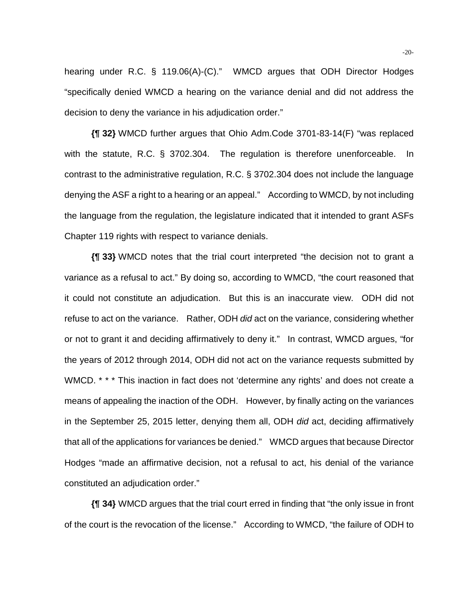hearing under R.C. § 119.06(A)-(C)." WMCD argues that ODH Director Hodges "specifically denied WMCD a hearing on the variance denial and did not address the decision to deny the variance in his adjudication order."

**{¶ 32}** WMCD further argues that Ohio Adm.Code 3701-83-14(F) "was replaced with the statute, R.C. § 3702.304. The regulation is therefore unenforceable. In contrast to the administrative regulation, R.C. § 3702.304 does not include the language denying the ASF a right to a hearing or an appeal." According to WMCD, by not including the language from the regulation, the legislature indicated that it intended to grant ASFs Chapter 119 rights with respect to variance denials.

**{¶ 33}** WMCD notes that the trial court interpreted "the decision not to grant a variance as a refusal to act." By doing so, according to WMCD, "the court reasoned that it could not constitute an adjudication. But this is an inaccurate view. ODH did not refuse to act on the variance. Rather, ODH *did* act on the variance, considering whether or not to grant it and deciding affirmatively to deny it." In contrast, WMCD argues, "for the years of 2012 through 2014, ODH did not act on the variance requests submitted by WMCD. \* \* \* This inaction in fact does not 'determine any rights' and does not create a means of appealing the inaction of the ODH. However, by finally acting on the variances in the September 25, 2015 letter, denying them all, ODH *did* act, deciding affirmatively that all of the applications for variances be denied." WMCD argues that because Director Hodges "made an affirmative decision, not a refusal to act, his denial of the variance constituted an adjudication order."

**{¶ 34}** WMCD argues that the trial court erred in finding that "the only issue in front of the court is the revocation of the license." According to WMCD, "the failure of ODH to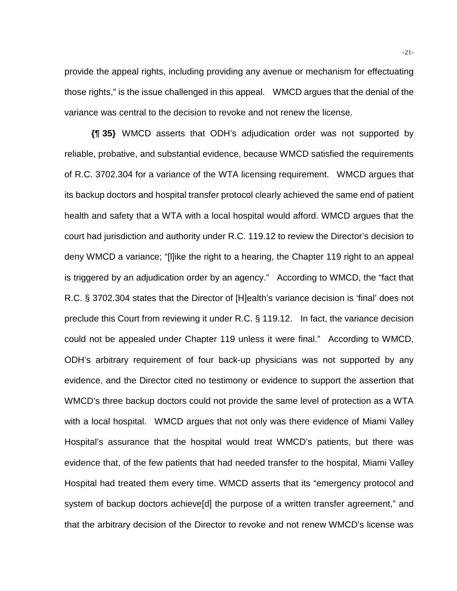provide the appeal rights, including providing any avenue or mechanism for effectuating those rights," is the issue challenged in this appeal. WMCD argues that the denial of the variance was central to the decision to revoke and not renew the license.

**{¶ 35}** WMCD asserts that ODH's adjudication order was not supported by reliable, probative, and substantial evidence, because WMCD satisfied the requirements of R.C. 3702.304 for a variance of the WTA licensing requirement. WMCD argues that its backup doctors and hospital transfer protocol clearly achieved the same end of patient health and safety that a WTA with a local hospital would afford. WMCD argues that the court had jurisdiction and authority under R.C. 119.12 to review the Director's decision to deny WMCD a variance; "[l]ike the right to a hearing, the Chapter 119 right to an appeal is triggered by an adjudication order by an agency." According to WMCD, the "fact that R.C. § 3702.304 states that the Director of [H]ealth's variance decision is 'final' does not preclude this Court from reviewing it under R.C. § 119.12. In fact, the variance decision could not be appealed under Chapter 119 unless it were final." According to WMCD, ODH's arbitrary requirement of four back-up physicians was not supported by any evidence, and the Director cited no testimony or evidence to support the assertion that WMCD's three backup doctors could not provide the same level of protection as a WTA with a local hospital. WMCD argues that not only was there evidence of Miami Valley Hospital's assurance that the hospital would treat WMCD's patients, but there was evidence that, of the few patients that had needed transfer to the hospital, Miami Valley Hospital had treated them every time. WMCD asserts that its "emergency protocol and system of backup doctors achieve[d] the purpose of a written transfer agreement," and that the arbitrary decision of the Director to revoke and not renew WMCD's license was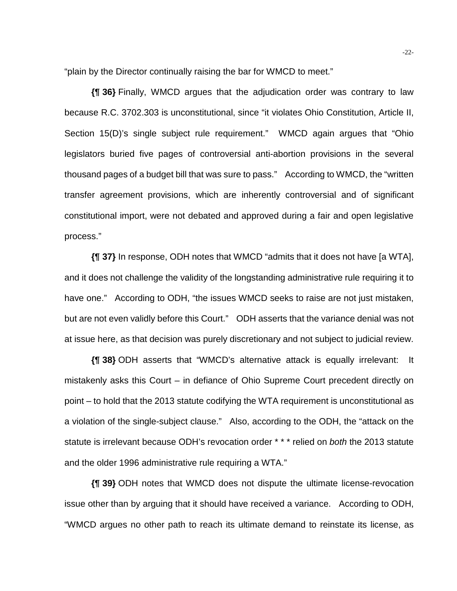"plain by the Director continually raising the bar for WMCD to meet."

**{¶ 36}** Finally, WMCD argues that the adjudication order was contrary to law because R.C. 3702.303 is unconstitutional, since "it violates Ohio Constitution, Article II, Section 15(D)'s single subject rule requirement." WMCD again argues that "Ohio legislators buried five pages of controversial anti-abortion provisions in the several thousand pages of a budget bill that was sure to pass." According to WMCD, the "written transfer agreement provisions, which are inherently controversial and of significant constitutional import, were not debated and approved during a fair and open legislative process."

**{¶ 37}** In response, ODH notes that WMCD "admits that it does not have [a WTA], and it does not challenge the validity of the longstanding administrative rule requiring it to have one." According to ODH, "the issues WMCD seeks to raise are not just mistaken, but are not even validly before this Court." ODH asserts that the variance denial was not at issue here, as that decision was purely discretionary and not subject to judicial review.

**{¶ 38}** ODH asserts that "WMCD's alternative attack is equally irrelevant: It mistakenly asks this Court – in defiance of Ohio Supreme Court precedent directly on point – to hold that the 2013 statute codifying the WTA requirement is unconstitutional as a violation of the single-subject clause." Also, according to the ODH, the "attack on the statute is irrelevant because ODH's revocation order \* \* \* relied on *both* the 2013 statute and the older 1996 administrative rule requiring a WTA."

**{¶ 39}** ODH notes that WMCD does not dispute the ultimate license-revocation issue other than by arguing that it should have received a variance. According to ODH, "WMCD argues no other path to reach its ultimate demand to reinstate its license, as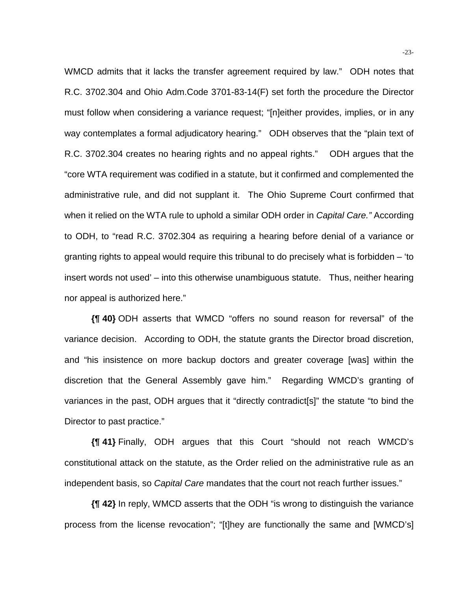WMCD admits that it lacks the transfer agreement required by law." ODH notes that R.C. 3702.304 and Ohio Adm.Code 3701-83-14(F) set forth the procedure the Director must follow when considering a variance request; "[n]either provides, implies, or in any way contemplates a formal adjudicatory hearing." ODH observes that the "plain text of R.C. 3702.304 creates no hearing rights and no appeal rights." ODH argues that the "core WTA requirement was codified in a statute, but it confirmed and complemented the administrative rule, and did not supplant it. The Ohio Supreme Court confirmed that when it relied on the WTA rule to uphold a similar ODH order in *Capital Care."* According to ODH, to "read R.C. 3702.304 as requiring a hearing before denial of a variance or granting rights to appeal would require this tribunal to do precisely what is forbidden – 'to insert words not used' – into this otherwise unambiguous statute. Thus, neither hearing nor appeal is authorized here."

**{¶ 40}** ODH asserts that WMCD "offers no sound reason for reversal" of the variance decision. According to ODH, the statute grants the Director broad discretion, and "his insistence on more backup doctors and greater coverage [was] within the discretion that the General Assembly gave him." Regarding WMCD's granting of variances in the past, ODH argues that it "directly contradict[s]" the statute "to bind the Director to past practice."

**{¶ 41}** Finally, ODH argues that this Court "should not reach WMCD's constitutional attack on the statute, as the Order relied on the administrative rule as an independent basis, so *Capital Care* mandates that the court not reach further issues."

**{¶ 42}** In reply, WMCD asserts that the ODH "is wrong to distinguish the variance process from the license revocation"; "[t]hey are functionally the same and [WMCD's]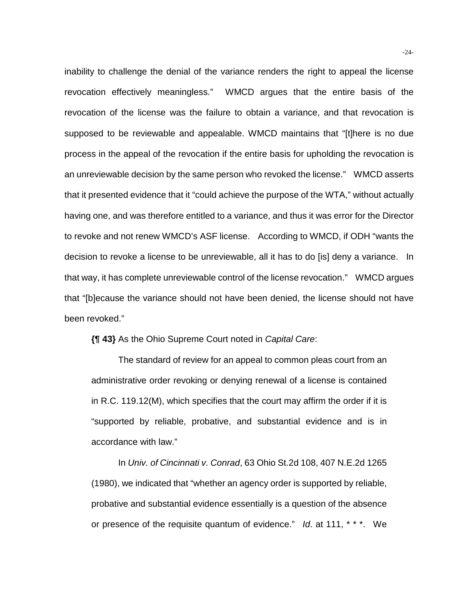inability to challenge the denial of the variance renders the right to appeal the license revocation effectively meaningless." WMCD argues that the entire basis of the revocation of the license was the failure to obtain a variance, and that revocation is supposed to be reviewable and appealable. WMCD maintains that "[t]here is no due process in the appeal of the revocation if the entire basis for upholding the revocation is an unreviewable decision by the same person who revoked the license." WMCD asserts that it presented evidence that it "could achieve the purpose of the WTA," without actually having one, and was therefore entitled to a variance, and thus it was error for the Director to revoke and not renew WMCD's ASF license. According to WMCD, if ODH "wants the decision to revoke a license to be unreviewable, all it has to do [is] deny a variance. In that way, it has complete unreviewable control of the license revocation." WMCD argues that "[b]ecause the variance should not have been denied, the license should not have been revoked."

**{¶ 43}** As the Ohio Supreme Court noted in *Capital Care*:

The standard of review for an appeal to common pleas court from an administrative order revoking or denying renewal of a license is contained in R.C. 119.12(M), which specifies that the court may affirm the order if it is "supported by reliable, probative, and substantial evidence and is in accordance with law."

In *Univ. of Cincinnati v. Conrad*, 63 Ohio St.2d 108, 407 N.E.2d 1265 (1980), we indicated that "whether an agency order is supported by reliable, probative and substantial evidence essentially is a question of the absence or presence of the requisite quantum of evidence." *Id*. at 111, \* \* \*. We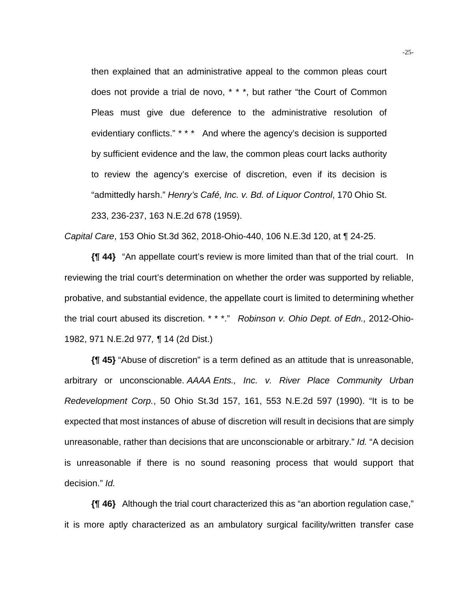then explained that an administrative appeal to the common pleas court does not provide a trial de novo, \* \* \*, but rather "the Court of Common Pleas must give due deference to the administrative resolution of evidentiary conflicts." \* \* \* And where the agency's decision is supported by sufficient evidence and the law, the common pleas court lacks authority to review the agency's exercise of discretion, even if its decision is "admittedly harsh." *Henry's Café, Inc. v. Bd. of Liquor Control*, 170 Ohio St. 233, 236-237, 163 N.E.2d 678 (1959).

*Capital Care*, 153 Ohio St.3d 362, 2018-Ohio-440, 106 N.E.3d 120, at ¶ 24-25.

**{¶ 44}** "An appellate court's review is more limited than that of the trial court. In reviewing the trial court's determination on whether the order was supported by reliable, probative, and substantial evidence, the appellate court is limited to determining whether the trial court abused its discretion. \* \* \*." *Robinson v. Ohio Dept. of Edn.,* 2012-Ohio-1982, 971 N.E.2d 977*, ¶* 14 (2d Dist.)

**{¶ 45}** "Abuse of discretion" is a term defined as an attitude that is unreasonable, arbitrary or unconscionable. *AAAA Ents., Inc. v. River Place Community Urban Redevelopment Corp.*, 50 Ohio St.3d 157, 161, 553 N.E.2d 597 (1990). "It is to be expected that most instances of abuse of discretion will result in decisions that are simply unreasonable, rather than decisions that are unconscionable or arbitrary." *Id.* "A decision is unreasonable if there is no sound reasoning process that would support that decision." *Id.*

**{¶ 46}** Although the trial court characterized this as "an abortion regulation case," it is more aptly characterized as an ambulatory surgical facility/written transfer case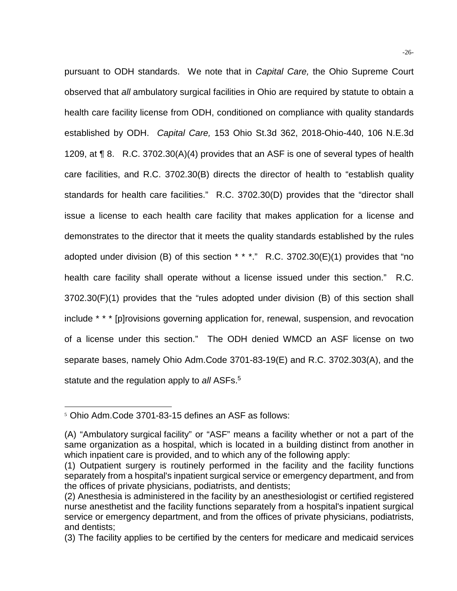pursuant to ODH standards. We note that in *Capital Care,* the Ohio Supreme Court observed that *all* ambulatory surgical facilities in Ohio are required by statute to obtain a health care facility license from ODH, conditioned on compliance with quality standards established by ODH. *Capital Care,* 153 Ohio St.3d 362, 2018-Ohio-440, 106 N.E.3d 1209, at ¶ 8. R.C. 3702.30(A)(4) provides that an ASF is one of several types of health care facilities, and R.C. 3702.30(B) directs the director of health to "establish quality standards for health care facilities." R.C. 3702.30(D) provides that the "director shall issue a license to each health care facility that makes application for a license and demonstrates to the director that it meets the quality standards established by the rules adopted under division (B) of this section  $* * *$ ." R.C. 3702.30(E)(1) provides that "no health care facility shall operate without a license issued under this section." R.C. 3702.30(F)(1) provides that the "rules adopted under division (B) of this section shall include \* \* \* [p]rovisions governing application for, renewal, suspension, and revocation of a license under this section." The ODH denied WMCD an ASF license on two separate bases, namely Ohio Adm.Code 3701-83-19(E) and R.C. 3702.303(A), and the statute and the regulation apply to *all* ASFs.5

l

<sup>&</sup>lt;sup>5</sup> Ohio Adm.Code 3701-83-15 defines an ASF as follows:

<sup>(</sup>A) "Ambulatory surgical facility" or "ASF" means a facility whether or not a part of the same organization as a hospital, which is located in a building distinct from another in which inpatient care is provided, and to which any of the following apply:

<sup>(1)</sup> Outpatient surgery is routinely performed in the facility and the facility functions separately from a hospital's inpatient surgical service or emergency department, and from the offices of private physicians, podiatrists, and dentists;

<sup>(2)</sup> Anesthesia is administered in the facility by an anesthesiologist or certified registered nurse anesthetist and the facility functions separately from a hospital's inpatient surgical service or emergency department, and from the offices of private physicians, podiatrists, and dentists;

<sup>(3)</sup> The facility applies to be certified by the centers for medicare and medicaid services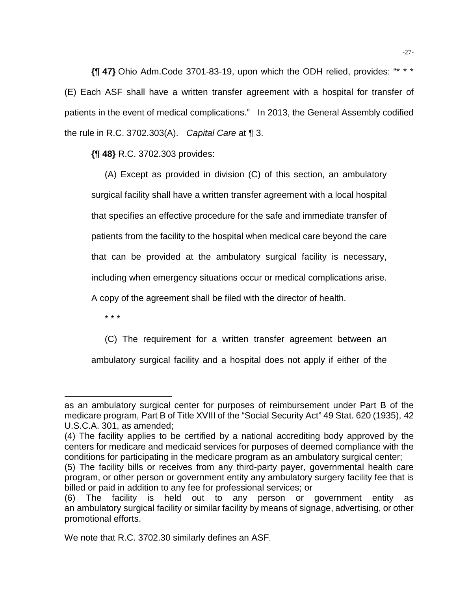**{¶ 47}** Ohio Adm.Code 3701-83-19, upon which the ODH relied, provides: "\* \* \* (E) Each ASF shall have a written transfer agreement with a hospital for transfer of patients in the event of medical complications." In 2013, the General Assembly codified the rule in R.C. 3702.303(A). *Capital Care* at ¶ 3.

**{¶ 48}** R.C. 3702.303 provides:

(A) Except as provided in division (C) of this section, an ambulatory surgical facility shall have a written transfer agreement with a local hospital that specifies an effective procedure for the safe and immediate transfer of patients from the facility to the hospital when medical care beyond the care that can be provided at the ambulatory surgical facility is necessary, including when emergency situations occur or medical complications arise.

A copy of the agreement shall be filed with the director of health.

\* \* \*

(C) The requirement for a written transfer agreement between an

ambulatory surgical facility and a hospital does not apply if either of the

l as an ambulatory surgical center for purposes of reimbursement under Part B of the medicare program, Part B of Title XVIII of the "Social Security Act" 49 Stat. 620 (1935), 42 U.S.C.A. 301, as amended;

<sup>(4)</sup> The facility applies to be certified by a national accrediting body approved by the centers for medicare and medicaid services for purposes of deemed compliance with the conditions for participating in the medicare program as an ambulatory surgical center;

<sup>(5)</sup> The facility bills or receives from any third-party payer, governmental health care program, or other person or government entity any ambulatory surgery facility fee that is billed or paid in addition to any fee for professional services; or

<sup>(6)</sup> The facility is held out to any person or government entity as an ambulatory surgical facility or similar facility by means of signage, advertising, or other promotional efforts.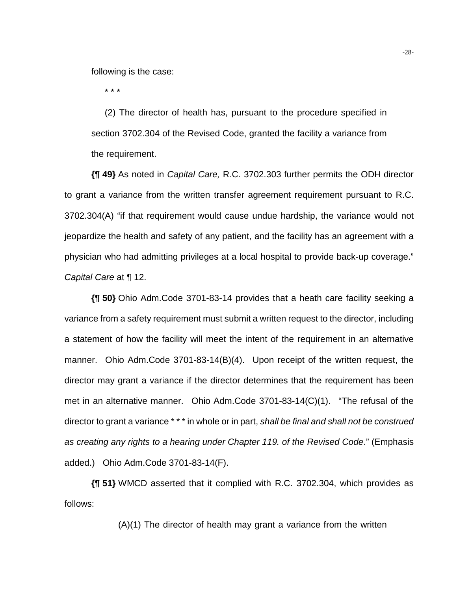following is the case:

\* \* \*

(2) The director of health has, pursuant to the procedure specified in section 3702.304 of the Revised Code, granted the facility a variance from the requirement.

**{¶ 49}** As noted in *Capital Care,* R.C. 3702.303 further permits the ODH director to grant a variance from the written transfer agreement requirement pursuant to R.C. 3702.304(A) "if that requirement would cause undue hardship, the variance would not jeopardize the health and safety of any patient, and the facility has an agreement with a physician who had admitting privileges at a local hospital to provide back-up coverage." *Capital Care* at ¶ 12.

**{¶ 50}** Ohio Adm.Code 3701-83-14 provides that a heath care facility seeking a variance from a safety requirement must submit a written request to the director, including a statement of how the facility will meet the intent of the requirement in an alternative manner. Ohio Adm.Code 3701-83-14(B)(4). Upon receipt of the written request, the director may grant a variance if the director determines that the requirement has been met in an alternative manner. Ohio Adm.Code 3701-83-14(C)(1). "The refusal of the director to grant a variance \* \* \* in whole or in part, *shall be final and shall not be construed as creating any rights to a hearing under Chapter 119. of the Revised Code*." (Emphasis added.) Ohio Adm.Code 3701-83-14(F).

**{¶ 51}** WMCD asserted that it complied with R.C. 3702.304, which provides as follows:

(A)(1) The director of health may grant a variance from the written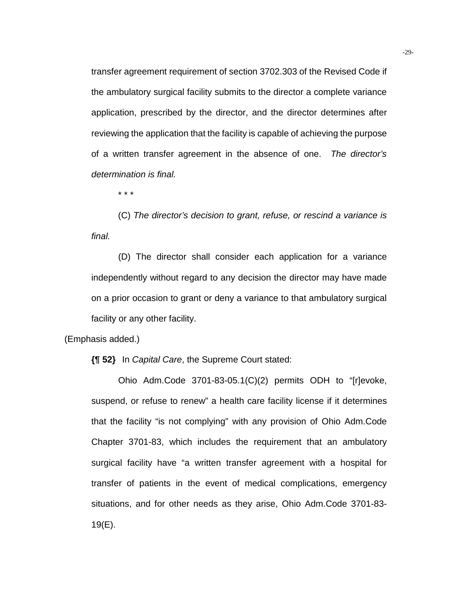transfer agreement requirement of section 3702.303 of the Revised Code if the ambulatory surgical facility submits to the director a complete variance application, prescribed by the director, and the director determines after reviewing the application that the facility is capable of achieving the purpose of a written transfer agreement in the absence of one. *The director's determination is final.* 

\* \* \*

(C) *The director's decision to grant, refuse, or rescind a variance is final.* 

(D) The director shall consider each application for a variance independently without regard to any decision the director may have made on a prior occasion to grant or deny a variance to that ambulatory surgical facility or any other facility.

(Emphasis added.)

**{¶ 52}** In *Capital Care*, the Supreme Court stated:

Ohio Adm.Code 3701-83-05.1(C)(2) permits ODH to "[r]evoke, suspend, or refuse to renew" a health care facility license if it determines that the facility "is not complying" with any provision of Ohio Adm.Code Chapter 3701-83, which includes the requirement that an ambulatory surgical facility have "a written transfer agreement with a hospital for transfer of patients in the event of medical complications, emergency situations, and for other needs as they arise, Ohio Adm.Code 3701-83- 19(E).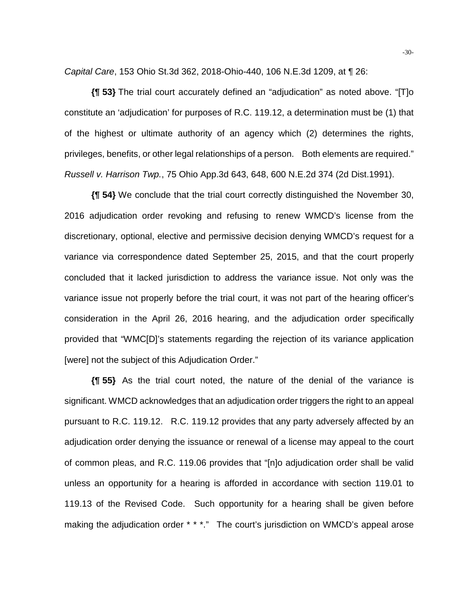*Capital Care*, 153 Ohio St.3d 362, 2018-Ohio-440, 106 N.E.3d 1209, at ¶ 26:

**{¶ 53}** The trial court accurately defined an "adjudication" as noted above. "[T]o constitute an 'adjudication' for purposes of R.C. 119.12, a determination must be (1) that of the highest or ultimate authority of an agency which (2) determines the rights, privileges, benefits, or other legal relationships of a person. Both elements are required." *Russell v. Harrison Twp.*, 75 Ohio App.3d 643, 648, 600 N.E.2d 374 (2d Dist.1991).

**{¶ 54}** We conclude that the trial court correctly distinguished the November 30, 2016 adjudication order revoking and refusing to renew WMCD's license from the discretionary, optional, elective and permissive decision denying WMCD's request for a variance via correspondence dated September 25, 2015, and that the court properly concluded that it lacked jurisdiction to address the variance issue. Not only was the variance issue not properly before the trial court, it was not part of the hearing officer's consideration in the April 26, 2016 hearing, and the adjudication order specifically provided that "WMC[D]'s statements regarding the rejection of its variance application [were] not the subject of this Adjudication Order."

**{¶ 55}** As the trial court noted, the nature of the denial of the variance is significant. WMCD acknowledges that an adjudication order triggers the right to an appeal pursuant to R.C. 119.12. R.C. 119.12 provides that any party adversely affected by an adjudication order denying the issuance or renewal of a license may appeal to the court of common pleas, and R.C. 119.06 provides that "[n]o adjudication order shall be valid unless an opportunity for a hearing is afforded in accordance with section 119.01 to 119.13 of the Revised Code. Such opportunity for a hearing shall be given before making the adjudication order \* \* \*." The court's jurisdiction on WMCD's appeal arose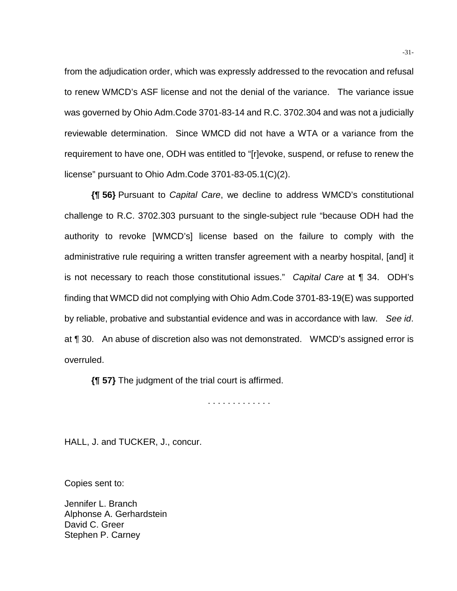from the adjudication order, which was expressly addressed to the revocation and refusal to renew WMCD's ASF license and not the denial of the variance. The variance issue was governed by Ohio Adm.Code 3701-83-14 and R.C. 3702.304 and was not a judicially reviewable determination. Since WMCD did not have a WTA or a variance from the requirement to have one, ODH was entitled to "[r]evoke, suspend, or refuse to renew the license" pursuant to Ohio Adm.Code 3701-83-05.1(C)(2).

**{¶ 56}** Pursuant to *Capital Care*, we decline to address WMCD's constitutional challenge to R.C. 3702.303 pursuant to the single-subject rule "because ODH had the authority to revoke [WMCD's] license based on the failure to comply with the administrative rule requiring a written transfer agreement with a nearby hospital, [and] it is not necessary to reach those constitutional issues." *Capital Care* at ¶ 34. ODH's finding that WMCD did not complying with Ohio Adm.Code 3701-83-19(E) was supported by reliable, probative and substantial evidence and was in accordance with law. *See id*. at ¶ 30. An abuse of discretion also was not demonstrated. WMCD's assigned error is overruled.

**{¶ 57}** The judgment of the trial court is affirmed.

. . . . . . . . . . . . .

HALL, J. and TUCKER, J., concur.

Copies sent to:

Jennifer L. Branch Alphonse A. Gerhardstein David C. Greer Stephen P. Carney